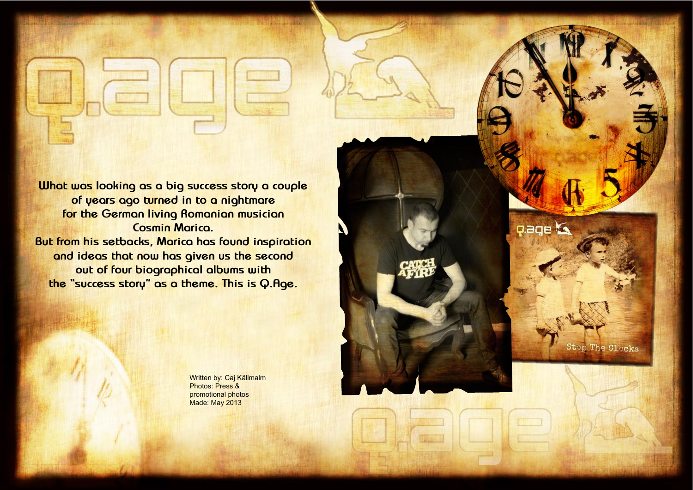Hallowed PDF-Magazine **252**

Design: Caj Källmalm



Written by: Caj Källmalm Photos: Press & promotional photos Made: May 2013

**What was looking as a big success story a couple of years ago turned in to a nightmare for the German living Romanian musician Cosmin Marica. But from his setbacks, Marica has found inspiration and ideas that now has given us the second out of four biographical albums with the "success story" as a theme. This is Q.Age.**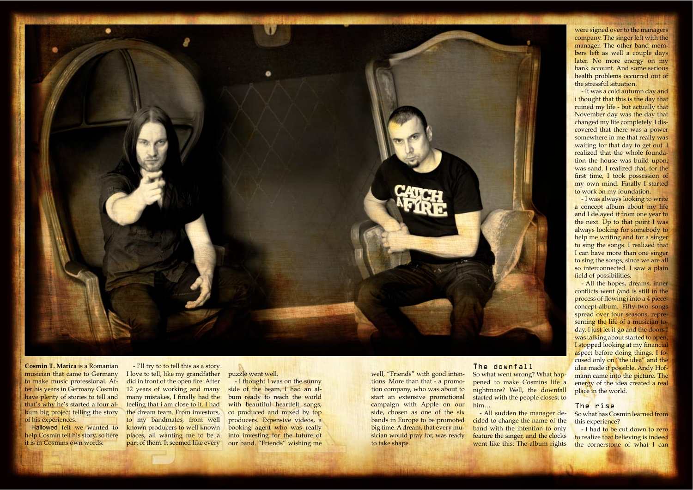Hallowed PDF-Magazine **254**

Design: Caj Källmalm

Design: Caj Källmalm



**Cosmin T. Marica** is a Romanian musician that came to Germany to make music professional. After his years in Germany Cosmin have plenty of stories to tell and that's why he's started a four album big project telling the story of his experiences.

Hallowed felt we wanted to help Cosmin tell his story, so here it is in Cosmins own words:

- I'll try to to tell this as a story I love to tell, like my grandfather did in front of the open fire: After 12 years of working and many many mistakes, I finally had the feeling that i am close to it. I had the dream team. From investors, to my bandmates, from well known producers to well known places, all wanting me to be a part of them. It seemed like every

puzzle went well.

- I thought I was on the sunny side of the beam, I had an album ready to reach the world with beautiful heartfelt songs, co produced and mixed by top producers. Expensive videos, a booking agent who was really into investing for the future of our band. "Friends" wishing me

- I was always looking to write a concept album about my life and I delayed it from one year to the next. Up to that point I was always looking for somebody to help me writing and for a singer to sing the songs. I realized that I can have more than one singer to sing the songs, since we are all so interconnected. I saw a plain field of possibilities.

well, "Friends" with good intentions. More than that - a promotion company, who was about to start an extensive promotional campaign with Apple on our side, chosen as one of the six bands in Europe to be promoted big time. A dream, that every musician would pray for, was ready to take shape.

The downfall So what went wrong? What happened to make Cosmins life a nightmare? Well, the downfall started with the people closest to him…

- All sudden the manager decided to change the name of the band with the intention to only feature the singer, and the clocks went like this: The album rights

were signed over to the managers company. The singer left with the manager. The other band members left as well a couple days later. No more energy on my bank account. And some serious health problems occurred out of the stressful situation.

- It was a cold autumn day and i thought that this is the day that ruined my life - but actually that November day was the day that changed my life completely. I discovered that there was a power somewhere in me that really was waiting for that day to get out. I realized that the whole foundation the house was build upon, was sand. I realized that, for the first time, I took possession of my own mind. Finally I started to work on my foundation.

- All the hopes, dreams, inner conflicts went (and is still in the process of flowing) into a 4 piececoncept-album. Fifty-two songs spread over four seasons, representing the life of a musician today. I just let it go and the doors I was talking about started to open. I stopped looking at my financial aspect before doing things. I focused only on "the idea" and the idea made it possible. Andy Hofmann came into the picture. The energy of the idea created a real place in the world.

#### The rise

**255 Hallowed Point Avenue Point Avenue Point Avenue Point Avenue Point Avenue Point Avenue Point Avenue Point Avenue** 

So what has Cosmin learned from this experience?

- I had to be cut down to zero to realize that believing is indeed the cornerstone of what I can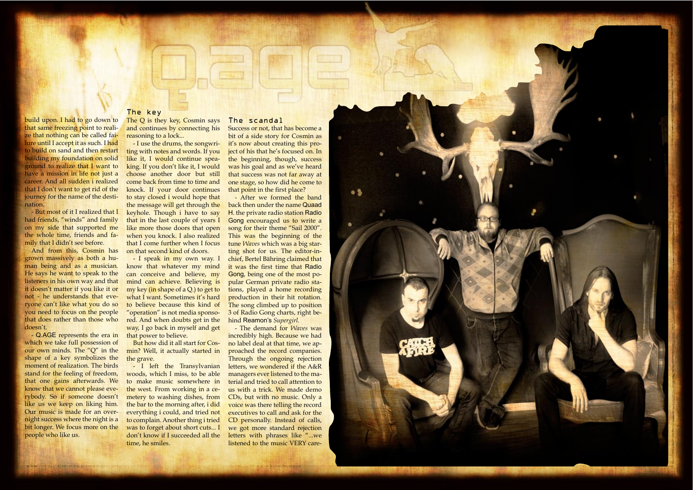Hallowed PDF-Magazine **256**

Design: Caj Källmalm



build upon. I had to go down to that same freezing point to reali ze that nothing can be called failure until I accept it as such. I had to build on sand and then restart building my foundation on solid ground to realize that I want to have a mission in life not just a career. And all sudden i realized that I don't want to get rid of the journey for the name of the desti -

nation.

- But most of it I realized that I had friends, "winds" and family on my side that supported me the whole time, friends and fa mily that I didn't see before.

The Q is they key, Cosmin says and continues by connecting his reasoning to a lock...

And from this, Cosmin has grown massively as both a hu man being and as a musician. He says he want to speak to the listeners in his own way and that it doesn't matter if you like it or not - he understands that eve ryone can't like what you do so you need to focus on the people that does rather than those who doesn't.

- Q.AGE represents the era in which we take full possession of our own minds. The "Q" in the shape of a key symbolizes the moment of realization. The birds stand for the feeling of freedom, that one gains afterwards. We know that we cannot please eve rybody. So if someone doesn't like us we keep on liking him. Our music is made for an over night success where the night is a bit longer. We focus more on the people who like us.

Success or not, that has become a bit of a side story for Cosmin as it's now about creating this pro ject of his that he's focused on. In the beginning, though, success was his goal and as we've heard that success was not far away at one stage, so how did he come to that point in the first place?

### The key

- I use the drums, the songwri ting with notes and words. If you like it, I would continue spea king. If you don't like it, I would choose another door but still come back from time to time and knock. If your door continues to stay closed i would hope that the message will get through the keyhole. Though i have to say that in the last couple of years I like more those doors that open when you knock. I also realized that I come further when I focus on that second kind of doors.

- I speak in my own way. I know that whatever my mind can conceive and believe, my mind can achieve. Believing is my key (in shape of a Q.) to get to what I want. Sometimes it's hard to believe because this kind of "operation" is not media sponso red. And when doubts get in the way, I go back in myself and get that power to believe.

But how did it all start for Cos min? Well, it actually started in the grave.

- I left the Transylvanian woods, which I miss, to be able to make music somewhere in the west. From working in a ce metery to washing dishes, from the bar to the morning after, i did everything i could, and tried not to complain. Another thing i tried was to forget about short cuts... I don't know if I succeeded all the time, he smiles.

## The scandal

- After we formed the band back then under the name Quaad H. the private radio station Radio Gong encouraged us to write a song for their theme "Sail 2000". This was the beginning of the tune *Waves* which was a big star ting shot for us. The editor-inchief, Bertel Bähring claimed that it was the first time that Radio Gong, being one of the most po pular German private radio sta tions, played a home recording production in their hit rotation. The song climbed up to position 3 of Radio Gong charts, right be hind Reamon's *Supergirl* .

- The demand for *Waves* was incredibly high. Because we had no label deal at that time, we ap proached the record companies. Through the ongoing rejection letters, we wondered if the A&R managers ever listened to the ma terial and tried to call attention to us with a trick. We made demo CDs, but with no music. Only a voice was there telling the record executives to call and ask for the CD personally. Instead of calls, we got more standard rejection letters with phrases like "...we listened to the music VERY care -

**STATE OF BUILDING**